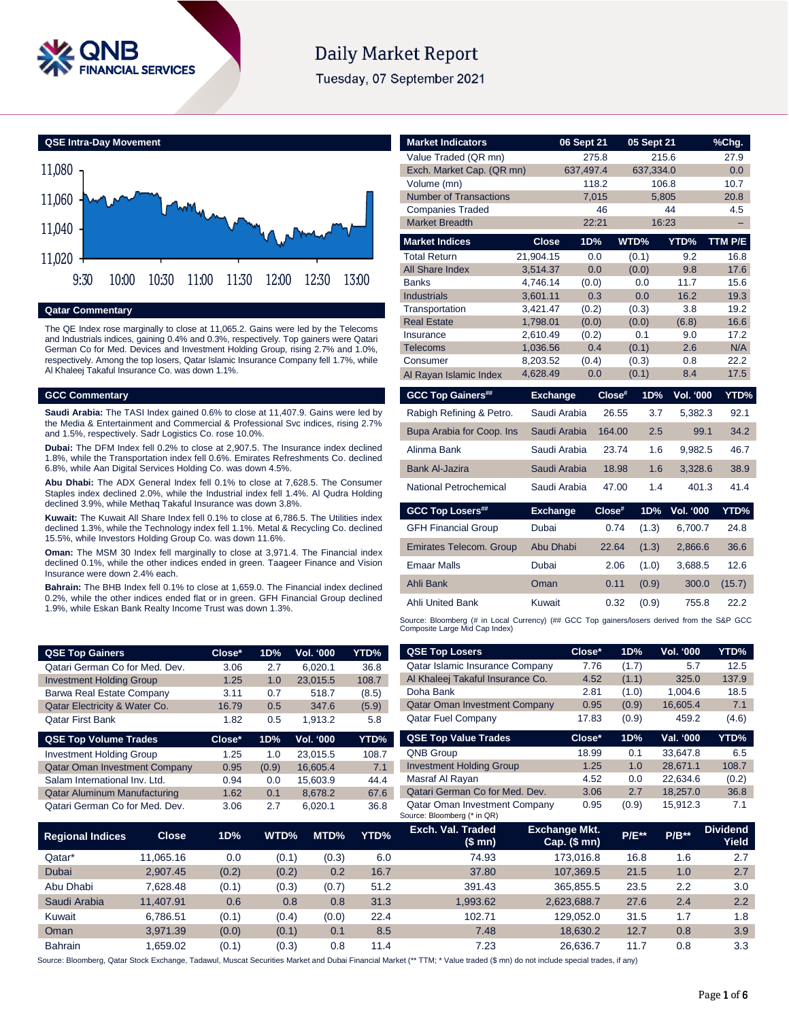

# **Daily Market Report**

Tuesday, 07 September 2021

**QSE Intra-Day Movement**



### **Qatar Commentary**

The QE Index rose marginally to close at 11,065.2. Gains were led by the Telecoms and Industrials indices, gaining 0.4% and 0.3%, respectively. Top gainers were Qatari German Co for Med. Devices and Investment Holding Group, rising 2.7% and 1.0%, respectively. Among the top losers, Qatar Islamic Insurance Company fell 1.7%, while Al Khaleej Takaful Insurance Co. was down 1.1%.

#### **GCC Commentary**

**Saudi Arabia:** The TASI Index gained 0.6% to close at 11,407.9. Gains were led by the Media & Entertainment and Commercial & Professional Svc indices, rising 2.7% and 1.5%, respectively. Sadr Logistics Co. rose 10.0%.

**Dubai:** The DFM Index fell 0.2% to close at 2,907.5. The Insurance index declined 1.8%, while the Transportation index fell 0.6%. Emirates Refreshments Co. declined 6.8%, while Aan Digital Services Holding Co. was down 4.5%.

**Abu Dhabi:** The ADX General Index fell 0.1% to close at 7,628.5. The Consumer Staples index declined 2.0%, while the Industrial index fell 1.4%. Al Qudra Holding declined 3.9%, while Methaq Takaful Insurance was down 3.8%.

**Kuwait:** The Kuwait All Share Index fell 0.1% to close at 6,786.5. The Utilities index declined 1.3%, while the Technology index fell 1.1%. Metal & Recycling Co. declined 15.5%, while Investors Holding Group Co. was down 11.6%.

**Oman:** The MSM 30 Index fell marginally to close at 3,971.4. The Financial index declined 0.1%, while the other indices ended in green. Taageer Finance and Vision Insurance were down 2.4% each.

**Bahrain:** The BHB Index fell 0.1% to close at 1,659.0. The Financial index declined 0.2%, while the other indices ended flat or in green. GFH Financial Group declined 1.9%, while Eskan Bank Realty Income Trust was down 1.3%.

| <b>QSE Top Gainers</b>          | Close* | 1D% | Vol. '000 | YTD% <sub>.</sub> |
|---------------------------------|--------|-----|-----------|-------------------|
| Qatari German Co for Med. Dev.  | 3.06   | 2.7 | 6.020.1   | 36.8              |
| <b>Investment Holding Group</b> | 1.25   | 1.0 | 23.015.5  | 108.7             |
| Barwa Real Estate Company       | 3.11   | 0.7 | 518.7     | (8.5)             |
| Qatar Electricity & Water Co.   | 16.79  | 0.5 | 347.6     | (5.9)             |
| Qatar First Bank                | 1.82   | 0.5 | 1,913.2   | 5.8               |

| <b>QSE Top Volume Trades</b>         | Close* | 1D%   | <b>Vol. '000</b> | YTD%  |
|--------------------------------------|--------|-------|------------------|-------|
| <b>Investment Holding Group</b>      | 1.25   | 1.0   | 23.015.5         | 108.7 |
| <b>Qatar Oman Investment Company</b> | 0.95   | (0.9) | 16.605.4         | 7.1   |
| Salam International Inv. Ltd.        | 0.94   | 0.0   | 15.603.9         | 44.4  |
| <b>Qatar Aluminum Manufacturing</b>  | 1.62   | 0.1   | 8.678.2          | 67.6  |
| Qatari German Co for Med. Dev.       | 3.06   | 2.7   | 6.020.1          | 36.8  |

| <b>Market Indicators</b>                                                                                                      |                      | 06 Sept 21   |        | 05 Sept 21 |             | %Chg.        |
|-------------------------------------------------------------------------------------------------------------------------------|----------------------|--------------|--------|------------|-------------|--------------|
| Value Traded (QR mn)                                                                                                          |                      | 275.8        |        | 215.6      |             | 27.9         |
| Exch. Market Cap. (QR mn)                                                                                                     |                      | 637.497.4    |        | 637,334.0  |             | 0.0          |
| Volume (mn)                                                                                                                   |                      | 118.2        |        | 106.8      |             | 10.7         |
| <b>Number of Transactions</b>                                                                                                 |                      | 7.015        |        | 5.805      |             | 20.8         |
| <b>Companies Traded</b>                                                                                                       |                      | 46           |        |            | 44          | 4.5          |
| <b>Market Breadth</b>                                                                                                         |                      | 22:21        |        | 16:23      |             |              |
| <b>Market Indices</b>                                                                                                         | <b>Close</b>         | 1D%          |        | WTD%       | YTD%        | TTM P/E      |
| <b>Total Return</b>                                                                                                           | 21.904.15            | 0.0          |        | (0.1)      | 9.2         | 16.8         |
| <b>All Share Index</b><br><b>Banks</b>                                                                                        | 3,514.37             | 0.0          |        | (0.0)      | 9.8<br>11.7 | 17.6<br>15.6 |
| <b>Industrials</b>                                                                                                            | 4.746.14<br>3,601.11 | (0.0)<br>0.3 |        | 0.0<br>0.0 | 16.2        | 19.3         |
| Transportation                                                                                                                | 3,421.47             | (0.2)        |        | (0.3)      | 3.8         | 19.2         |
| <b>Real Estate</b>                                                                                                            | 1,798.01             | (0.0)        |        | (0.0)      | (6.8)       | 16.6         |
| Insurance                                                                                                                     | 2.610.49             | (0.2)        |        | 0.1        | 9.0         | 17.2         |
| <b>Telecoms</b>                                                                                                               | 1,036.56             | 0.4          |        | (0.1)      | 2.6         | N/A          |
| Consumer                                                                                                                      | 8,203.52             | (0.4)        |        | (0.3)      | 0.8         | 22.2         |
| Al Rayan Islamic Index                                                                                                        | 4,628.49             | 0.0          |        | (0.1)      | 8.4         | 17.5         |
| <b>GCC Top Gainers##</b>                                                                                                      | <b>Exchange</b>      |              | Close# | 1D%        | Vol. '000   | YTD%         |
| Rabigh Refining & Petro.                                                                                                      | Saudi Arabia         |              | 26.55  | 3.7        | 5,382.3     | 92.1         |
| Bupa Arabia for Coop. Ins                                                                                                     | Saudi Arabia         |              | 164.00 | 2.5        | 99.1        | 34.2         |
| Alinma Bank                                                                                                                   | Saudi Arabia         |              | 23.74  | 1.6        | 9,982.5     | 46.7         |
| <b>Bank Al-Jazira</b>                                                                                                         | Saudi Arabia         |              | 18.98  | 1.6        | 3,328.6     | 38.9         |
| National Petrochemical                                                                                                        | Saudi Arabia         |              | 47.00  | 1.4        | 401.3       | 41.4         |
| <b>GCC Top Losers##</b>                                                                                                       | <b>Exchange</b>      |              | Close# | 1D%        | Vol. '000   | YTD%         |
| <b>GFH Financial Group</b>                                                                                                    | Dubai                |              | 0.74   | (1.3)      | 6,700.7     | 24.8         |
| <b>Emirates Telecom. Group</b>                                                                                                | <b>Abu Dhabi</b>     |              | 22.64  | (1.3)      | 2,866.6     | 36.6         |
| <b>Emaar Malls</b>                                                                                                            | Dubai                |              | 2.06   | (1.0)      | 3.688.5     | 12.6         |
| Ahli Bank                                                                                                                     | Oman                 |              | 0.11   | (0.9)      | 300.0       | (15.7)       |
| <b>Ahli United Bank</b>                                                                                                       | Kuwait               |              | 0.32   | (0.9)      | 755.8       | 22.2         |
| Source: Bloomberg (# in Local Currency) (## GCC Top gainers/losers derived from the S&P GCC<br>Composite Large Mid Cap Index) |                      |              |        |            |             |              |
|                                                                                                                               |                      | Close*       |        | 1D%        | Vol. '000   | YTD%         |
| <b>QSE Top Losers</b>                                                                                                         |                      |              |        |            |             |              |
| Qatar Islamic Insurance Company                                                                                               |                      | 7.76         |        | (1.7)      | 5.7         | 12.5         |

| ℅  | Exch. Val. Traded<br>(\$ mn)         | Exchange Mkt.<br>$Cap.$ (\$ mn) | <b>P/E**</b> | $P/B**$   | <b>Dividend</b><br>Yield |
|----|--------------------------------------|---------------------------------|--------------|-----------|--------------------------|
|    | Source: Bloomberg (* in QR)          |                                 |              |           |                          |
| ξ  | <b>Qatar Oman Investment Company</b> | 0.95                            | (0.9)        | 15.912.3  | 7.1                      |
| ć  | Qatari German Co for Med. Dev.       | 3.06                            | 2.7          | 18.257.0  | 36.8                     |
| 1  | Masraf Al Rayan                      | 4.52                            | 0.0          | 22.634.6  | (0.2)                    |
|    | <b>Investment Holding Group</b>      | 1.25                            | 1.0          | 28.671.1  | 108.7                    |
|    | <b>QNB Group</b>                     | 18.99                           | 0.1          | 33.647.8  | 6.5                      |
| ó. | <b>QSE Top Value Trades</b>          | Close*                          | 1D%          | Val. '000 | YTD%                     |
|    | <b>Qatar Fuel Company</b>            | 17.83                           | (0.9)        | 459.2     | (4.6)                    |
|    | <b>Qatar Oman Investment Company</b> | 0.95                            | (0.9)        | 16.605.4  | 7.1                      |
|    | Doha Bank                            | 2.81                            | (1.0)        | 1,004.6   | 18.5                     |
|    | Al Khaleej Takaful Insurance Co.     | 4.52                            | (1.1)        | 325.0     | 137.9                    |
|    | Qatar Islamic Insurance Company      | 7.76                            | (1.7)        | 5.7       | 12.5                     |

| <b>Regional Indices</b> | <b>Close</b> | 1D%   | WTD%  | MTD%  | YTD% | Exch. Val. Traded<br>(\$mn) | <b>Exchange Mkt.</b><br>Cap. $($$ mn $)$ | <b>P/E**</b> | $P/B**$ | <b>Dividend</b><br>Yield |
|-------------------------|--------------|-------|-------|-------|------|-----------------------------|------------------------------------------|--------------|---------|--------------------------|
| Qatar*                  | 11.065.16    | 0.0   | (0.1) | (0.3) | 6.0  | 74.93                       | 173,016.8                                | 16.8         | 1.6     | 2.7                      |
| Dubai                   | 2.907.45     | (0.2) | (0.2) | 0.2   | 16.7 | 37.80                       | 107.369.5                                | 21.5         | 1.0     | 2.7                      |
| Abu Dhabi               | 7.628.48     | (0.1) | (0.3) | (0.7) | 51.2 | 391.43                      | 365.855.5                                | 23.5         | 2.2     | 3.0                      |
| Saudi Arabia            | 11.407.91    | 0.6   | 0.8   | 0.8   | 31.3 | 993.62                      | 2,623,688.7                              | 27.6         | 2.4     | 2.2                      |
| Kuwait                  | 6.786.51     | (0.1) | (0.4) | (0.0) | 22.4 | 102.71                      | 129.052.0                                | 31.5         | 1.7     | 1.8                      |
| Oman                    | 3.971.39     | (0.0) | (0.1) | 0.1   | 8.5  | 7.48                        | 18.630.2                                 | 12.7         | 0.8     | 3.9                      |
| <b>Bahrain</b>          | .659.02      | (0.1) | (0.3) | 0.8   | 11.4 | 7.23                        | 26.636.7                                 | 11.7         | 0.8     | 3.3                      |

Source: Bloomberg, Qatar Stock Exchange, Tadawul, Muscat Securities Market and Dubai Financial Market (\*\* TTM; \* Value traded (\$ mn) do not include special trades, if any)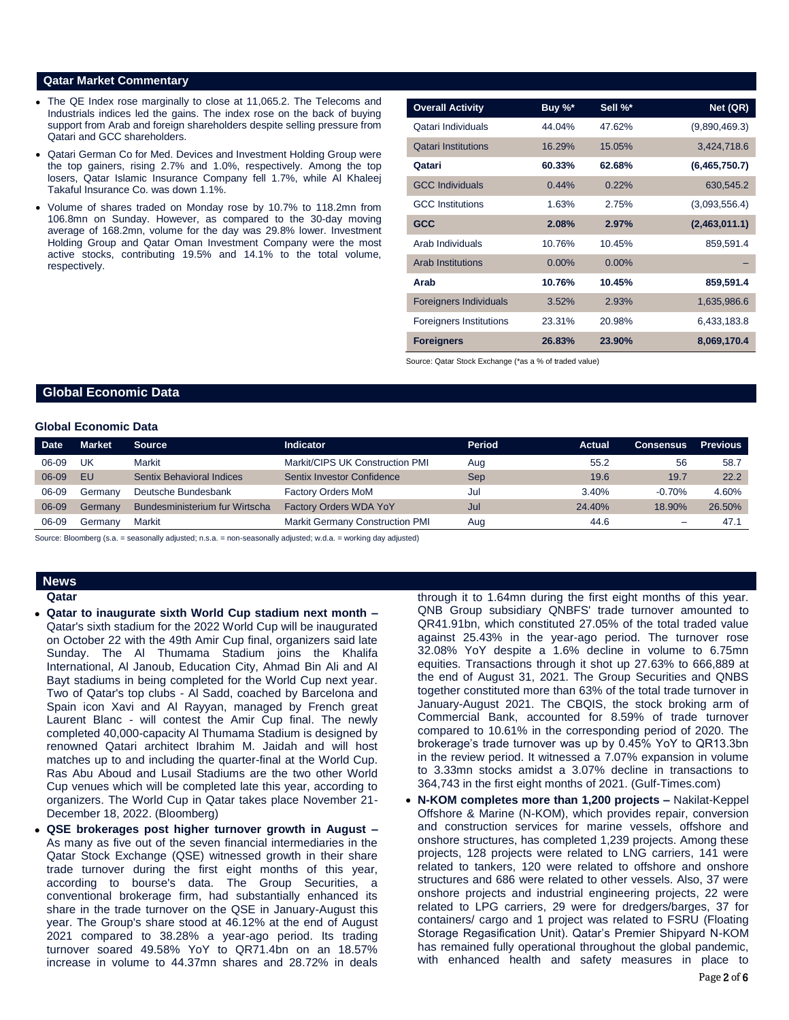#### **Qatar Market Commentary**

- The QE Index rose marginally to close at 11,065.2. The Telecoms and Industrials indices led the gains. The index rose on the back of buying support from Arab and foreign shareholders despite selling pressure from Qatari and GCC shareholders.
- Qatari German Co for Med. Devices and Investment Holding Group were the top gainers, rising 2.7% and 1.0%, respectively. Among the top losers, Qatar Islamic Insurance Company fell 1.7%, while Al Khaleej Takaful Insurance Co. was down 1.1%.
- Volume of shares traded on Monday rose by 10.7% to 118.2mn from 106.8mn on Sunday. However, as compared to the 30-day moving average of 168.2mn, volume for the day was 29.8% lower. Investment Holding Group and Qatar Oman Investment Company were the most active stocks, contributing 19.5% and 14.1% to the total volume, respectively.

| <b>Overall Activity</b>        | Buy %*   | Sell %* | Net (QR)      |
|--------------------------------|----------|---------|---------------|
| Qatari Individuals             | 44.04%   | 47.62%  | (9,890,469.3) |
| <b>Qatari Institutions</b>     | 16.29%   | 15.05%  | 3,424,718.6   |
| Qatari                         | 60.33%   | 62.68%  | (6,465,750.7) |
| <b>GCC Individuals</b>         | 0.44%    | 0.22%   | 630,545.2     |
| <b>GCC</b> Institutions        | 1.63%    | 2.75%   | (3,093,556.4) |
| <b>GCC</b>                     | 2.08%    | 2.97%   | (2,463,011.1) |
| Arab Individuals               | 10.76%   | 10.45%  | 859,591.4     |
| <b>Arab Institutions</b>       | $0.00\%$ | 0.00%   |               |
| Arab                           | 10.76%   | 10.45%  | 859,591.4     |
| <b>Foreigners Individuals</b>  | 3.52%    | 2.93%   | 1,635,986.6   |
| <b>Foreigners Institutions</b> | 23.31%   | 20.98%  | 6,433,183.8   |
| <b>Foreigners</b>              | 26.83%   | 23.90%  | 8,069,170.4   |

Source: Qatar Stock Exchange (\*as a % of traded value)

### **Global Economic Data**

#### **Global Economic Data**

| <b>Date</b> | <b>Market</b> | <b>Source</b>                  | Indicator                              | <b>Period</b> | Actual | <b>Consensus</b> | Previous |
|-------------|---------------|--------------------------------|----------------------------------------|---------------|--------|------------------|----------|
| 06-09       | UK            | Markit                         | Markit/CIPS UK Construction PMI        | Aug           | 55.2   | 56               | 58.7     |
| $06-09$     | EU            | Sentix Behavioral Indices      | <b>Sentix Investor Confidence</b>      | <b>Sep</b>    | 19.6   | 19.7             | 22.2     |
| 06-09       | Germany       | Deutsche Bundesbank            | <b>Factory Orders MoM</b>              | Jul           | 3.40%  | $-0.70%$         | 4.60%    |
| 06-09       | Germany       | Bundesministerium fur Wirtscha | <b>Factory Orders WDA YoY</b>          | Jul           | 24.40% | 18.90%           | 26.50%   |
| 06-09       | Germany       | Markit                         | <b>Markit Germany Construction PMI</b> | Aug           | 44.6   | -                | 47.      |

Source: Bloomberg (s.a. = seasonally adjusted; n.s.a. = non-seasonally adjusted; w.d.a. = working day adjusted)

#### **News Qatar**

- **Qatar to inaugurate sixth World Cup stadium next month –** Qatar's sixth stadium for the 2022 World Cup will be inaugurated on October 22 with the 49th Amir Cup final, organizers said late Sunday. The Al Thumama Stadium joins the Khalifa International, Al Janoub, Education City, Ahmad Bin Ali and Al Bayt stadiums in being completed for the World Cup next year. Two of Qatar's top clubs - Al Sadd, coached by Barcelona and Spain icon Xavi and Al Rayyan, managed by French great Laurent Blanc - will contest the Amir Cup final. The newly completed 40,000-capacity Al Thumama Stadium is designed by renowned Qatari architect Ibrahim M. Jaidah and will host matches up to and including the quarter-final at the World Cup. Ras Abu Aboud and Lusail Stadiums are the two other World Cup venues which will be completed late this year, according to organizers. The World Cup in Qatar takes place November 21- December 18, 2022. (Bloomberg)
- **QSE brokerages post higher turnover growth in August –** As many as five out of the seven financial intermediaries in the Qatar Stock Exchange (QSE) witnessed growth in their share trade turnover during the first eight months of this year, according to bourse's data. The Group Securities, a conventional brokerage firm, had substantially enhanced its share in the trade turnover on the QSE in January-August this year. The Group's share stood at 46.12% at the end of August 2021 compared to 38.28% a year-ago period. Its trading turnover soared 49.58% YoY to QR71.4bn on an 18.57% increase in volume to 44.37mn shares and 28.72% in deals

through it to 1.64mn during the first eight months of this year. QNB Group subsidiary QNBFS' trade turnover amounted to QR41.91bn, which constituted 27.05% of the total traded value against 25.43% in the year-ago period. The turnover rose 32.08% YoY despite a 1.6% decline in volume to 6.75mn equities. Transactions through it shot up 27.63% to 666,889 at the end of August 31, 2021. The Group Securities and QNBS together constituted more than 63% of the total trade turnover in January-August 2021. The CBQIS, the stock broking arm of Commercial Bank, accounted for 8.59% of trade turnover compared to 10.61% in the corresponding period of 2020. The brokerage's trade turnover was up by 0.45% YoY to QR13.3bn in the review period. It witnessed a 7.07% expansion in volume to 3.33mn stocks amidst a 3.07% decline in transactions to 364,743 in the first eight months of 2021. (Gulf-Times.com)

 **N-KOM completes more than 1,200 projects –** Nakilat-Keppel Offshore & Marine (N-KOM), which provides repair, conversion and construction services for marine vessels, offshore and onshore structures, has completed 1,239 projects. Among these projects, 128 projects were related to LNG carriers, 141 were related to tankers, 120 were related to offshore and onshore structures and 686 were related to other vessels. Also, 37 were onshore projects and industrial engineering projects, 22 were related to LPG carriers, 29 were for dredgers/barges, 37 for containers/ cargo and 1 project was related to FSRU (Floating Storage Regasification Unit). Qatar's Premier Shipyard N-KOM has remained fully operational throughout the global pandemic, with enhanced health and safety measures in place to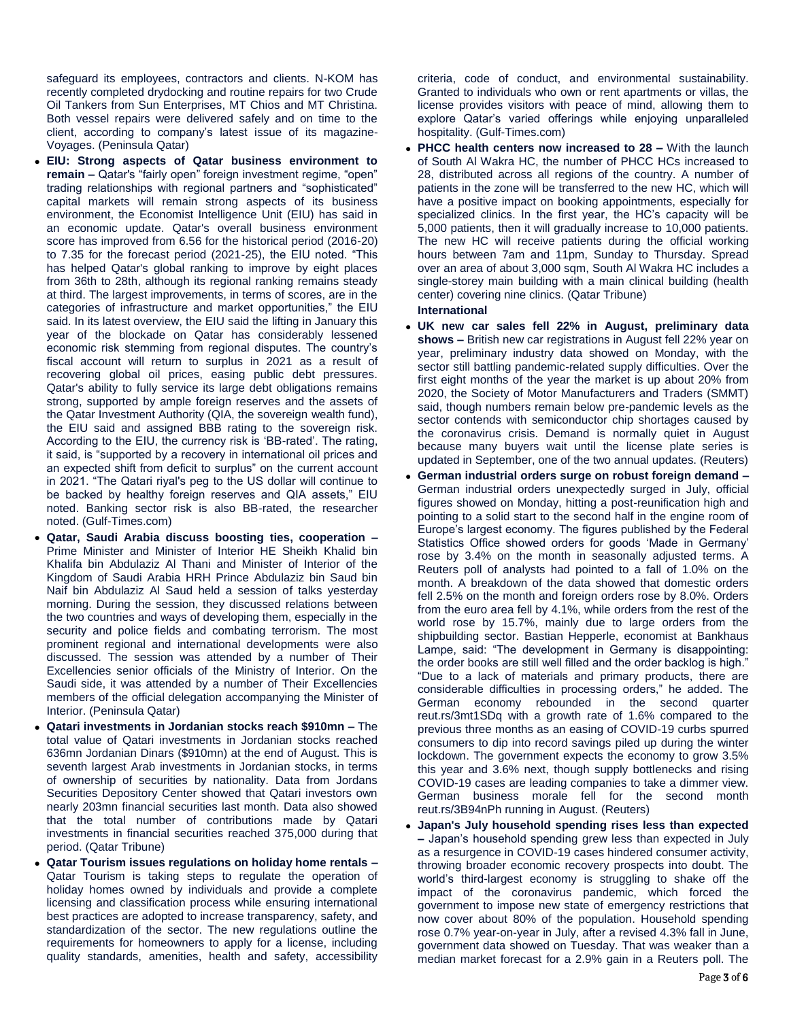safeguard its employees, contractors and clients. N-KOM has recently completed drydocking and routine repairs for two Crude Oil Tankers from Sun Enterprises, MT Chios and MT Christina. Both vessel repairs were delivered safely and on time to the client, according to company's latest issue of its magazine-Voyages. (Peninsula Qatar)

- **EIU: Strong aspects of Qatar business environment to remain –** Qatar's "fairly open" foreign investment regime, "open" trading relationships with regional partners and "sophisticated" capital markets will remain strong aspects of its business environment, the Economist Intelligence Unit (EIU) has said in an economic update. Qatar's overall business environment score has improved from 6.56 for the historical period (2016-20) to 7.35 for the forecast period (2021-25), the EIU noted. "This has helped Qatar's global ranking to improve by eight places from 36th to 28th, although its regional ranking remains steady at third. The largest improvements, in terms of scores, are in the categories of infrastructure and market opportunities," the EIU said. In its latest overview, the EIU said the lifting in January this year of the blockade on Qatar has considerably lessened economic risk stemming from regional disputes. The country's fiscal account will return to surplus in 2021 as a result of recovering global oil prices, easing public debt pressures. Qatar's ability to fully service its large debt obligations remains strong, supported by ample foreign reserves and the assets of the Qatar Investment Authority (QIA, the sovereign wealth fund), the EIU said and assigned BBB rating to the sovereign risk. According to the EIU, the currency risk is 'BB-rated'. The rating, it said, is "supported by a recovery in international oil prices and an expected shift from deficit to surplus" on the current account in 2021. "The Qatari riyal's peg to the US dollar will continue to be backed by healthy foreign reserves and QIA assets," EIU noted. Banking sector risk is also BB-rated, the researcher noted. (Gulf-Times.com)
- **Qatar, Saudi Arabia discuss boosting ties, cooperation –** Prime Minister and Minister of Interior HE Sheikh Khalid bin Khalifa bin Abdulaziz Al Thani and Minister of Interior of the Kingdom of Saudi Arabia HRH Prince Abdulaziz bin Saud bin Naif bin Abdulaziz Al Saud held a session of talks yesterday morning. During the session, they discussed relations between the two countries and ways of developing them, especially in the security and police fields and combating terrorism. The most prominent regional and international developments were also discussed. The session was attended by a number of Their Excellencies senior officials of the Ministry of Interior. On the Saudi side, it was attended by a number of Their Excellencies members of the official delegation accompanying the Minister of Interior. (Peninsula Qatar)
- **Qatari investments in Jordanian stocks reach \$910mn –** The total value of Qatari investments in Jordanian stocks reached 636mn Jordanian Dinars (\$910mn) at the end of August. This is seventh largest Arab investments in Jordanian stocks, in terms of ownership of securities by nationality. Data from Jordans Securities Depository Center showed that Qatari investors own nearly 203mn financial securities last month. Data also showed that the total number of contributions made by Qatari investments in financial securities reached 375,000 during that period. (Qatar Tribune)
- **Qatar Tourism issues regulations on holiday home rentals –** Qatar Tourism is taking steps to regulate the operation of holiday homes owned by individuals and provide a complete licensing and classification process while ensuring international best practices are adopted to increase transparency, safety, and standardization of the sector. The new regulations outline the requirements for homeowners to apply for a license, including quality standards, amenities, health and safety, accessibility

criteria, code of conduct, and environmental sustainability. Granted to individuals who own or rent apartments or villas, the license provides visitors with peace of mind, allowing them to explore Qatar's varied offerings while enjoying unparalleled hospitality. (Gulf-Times.com)

 **PHCC health centers now increased to 28 –** With the launch of South Al Wakra HC, the number of PHCC HCs increased to 28, distributed across all regions of the country. A number of patients in the zone will be transferred to the new HC, which will have a positive impact on booking appointments, especially for specialized clinics. In the first year, the HC's capacity will be 5,000 patients, then it will gradually increase to 10,000 patients. The new HC will receive patients during the official working hours between 7am and 11pm, Sunday to Thursday. Spread over an area of about 3,000 sqm, South Al Wakra HC includes a single-storey main building with a main clinical building (health center) covering nine clinics. (Qatar Tribune)

### **International**

- **UK new car sales fell 22% in August, preliminary data shows –** British new car registrations in August fell 22% year on year, preliminary industry data showed on Monday, with the sector still battling pandemic-related supply difficulties. Over the first eight months of the year the market is up about 20% from 2020, the Society of Motor Manufacturers and Traders (SMMT) said, though numbers remain below pre-pandemic levels as the sector contends with semiconductor chip shortages caused by the coronavirus crisis. Demand is normally quiet in August because many buyers wait until the license plate series is updated in September, one of the two annual updates. (Reuters)
- **German industrial orders surge on robust foreign demand –** German industrial orders unexpectedly surged in July, official figures showed on Monday, hitting a post-reunification high and pointing to a solid start to the second half in the engine room of Europe's largest economy. The figures published by the Federal Statistics Office showed orders for goods 'Made in Germany' rose by 3.4% on the month in seasonally adjusted terms. A Reuters poll of analysts had pointed to a fall of 1.0% on the month. A breakdown of the data showed that domestic orders fell 2.5% on the month and foreign orders rose by 8.0%. Orders from the euro area fell by 4.1%, while orders from the rest of the world rose by 15.7%, mainly due to large orders from the shipbuilding sector. Bastian Hepperle, economist at Bankhaus Lampe, said: "The development in Germany is disappointing: the order books are still well filled and the order backlog is high." "Due to a lack of materials and primary products, there are considerable difficulties in processing orders," he added. The German economy rebounded in the second quarter reut.rs/3mt1SDq with a growth rate of 1.6% compared to the previous three months as an easing of COVID-19 curbs spurred consumers to dip into record savings piled up during the winter lockdown. The government expects the economy to grow 3.5% this year and 3.6% next, though supply bottlenecks and rising COVID-19 cases are leading companies to take a dimmer view. German business morale fell for the second month reut.rs/3B94nPh running in August. (Reuters)
- **Japan's July household spending rises less than expected –** Japan's household spending grew less than expected in July as a resurgence in COVID-19 cases hindered consumer activity, throwing broader economic recovery prospects into doubt. The world's third-largest economy is struggling to shake off the impact of the coronavirus pandemic, which forced the government to impose new state of emergency restrictions that now cover about 80% of the population. Household spending rose 0.7% year-on-year in July, after a revised 4.3% fall in June, government data showed on Tuesday. That was weaker than a median market forecast for a 2.9% gain in a Reuters poll. The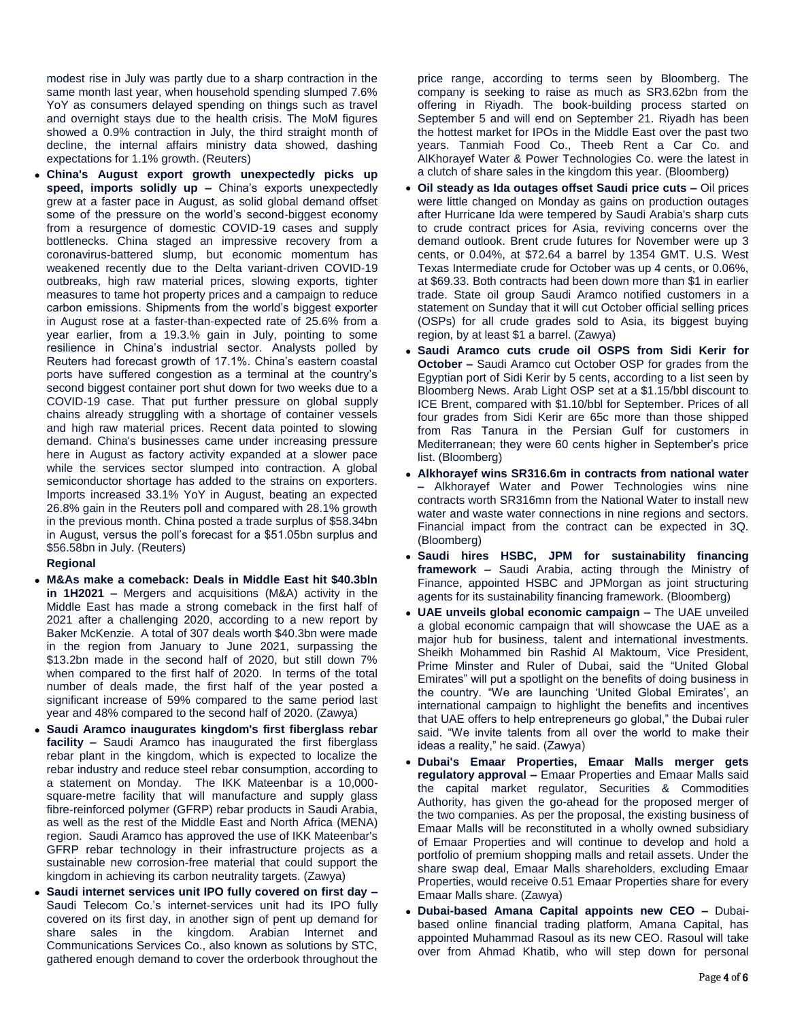modest rise in July was partly due to a sharp contraction in the same month last year, when household spending slumped 7.6% YoY as consumers delayed spending on things such as travel and overnight stays due to the health crisis. The MoM figures showed a 0.9% contraction in July, the third straight month of decline, the internal affairs ministry data showed, dashing expectations for 1.1% growth. (Reuters)

 **China's August export growth unexpectedly picks up speed, imports solidly up –** China's exports unexpectedly grew at a faster pace in August, as solid global demand offset some of the pressure on the world's second-biggest economy from a resurgence of domestic COVID-19 cases and supply bottlenecks. China staged an impressive recovery from a coronavirus-battered slump, but economic momentum has weakened recently due to the Delta variant-driven COVID-19 outbreaks, high raw material prices, slowing exports, tighter measures to tame hot property prices and a campaign to reduce carbon emissions. Shipments from the world's biggest exporter in August rose at a faster-than-expected rate of 25.6% from a year earlier, from a 19.3.% gain in July, pointing to some resilience in China's industrial sector. Analysts polled by Reuters had forecast growth of 17.1%. China's eastern coastal ports have suffered congestion as a terminal at the country's second biggest container port shut down for two weeks due to a COVID-19 case. That put further pressure on global supply chains already struggling with a shortage of container vessels and high raw material prices. Recent data pointed to slowing demand. China's businesses came under increasing pressure here in August as factory activity expanded at a slower pace while the services sector slumped into contraction. A global semiconductor shortage has added to the strains on exporters. Imports increased 33.1% YoY in August, beating an expected 26.8% gain in the Reuters poll and compared with 28.1% growth in the previous month. China posted a trade surplus of \$58.34bn in August, versus the poll's forecast for a \$51.05bn surplus and \$56.58bn in July. (Reuters)

#### **Regional**

- **M&As make a comeback: Deals in Middle East hit \$40.3bln in 1H2021 –** Mergers and acquisitions (M&A) activity in the Middle East has made a strong comeback in the first half of 2021 after a challenging 2020, according to a new report by Baker McKenzie. A total of 307 deals worth \$40.3bn were made in the region from January to June 2021, surpassing the \$13.2bn made in the second half of 2020, but still down 7% when compared to the first half of 2020. In terms of the total number of deals made, the first half of the year posted a significant increase of 59% compared to the same period last year and 48% compared to the second half of 2020. (Zawya)
- **Saudi Aramco inaugurates kingdom's first fiberglass rebar facility –** Saudi Aramco has inaugurated the first fiberglass rebar plant in the kingdom, which is expected to localize the rebar industry and reduce steel rebar consumption, according to a statement on Monday. The IKK Mateenbar is a 10,000 square-metre facility that will manufacture and supply glass fibre-reinforced polymer (GFRP) rebar products in Saudi Arabia, as well as the rest of the Middle East and North Africa (MENA) region. Saudi Aramco has approved the use of IKK Mateenbar's GFRP rebar technology in their infrastructure projects as a sustainable new corrosion-free material that could support the kingdom in achieving its carbon neutrality targets. (Zawya)
- **Saudi internet services unit IPO fully covered on first day –** Saudi Telecom Co.'s internet-services unit had its IPO fully covered on its first day, in another sign of pent up demand for share sales in the kingdom. Arabian Internet and Communications Services Co., also known as solutions by STC, gathered enough demand to cover the orderbook throughout the

price range, according to terms seen by Bloomberg. The company is seeking to raise as much as SR3.62bn from the offering in Riyadh. The book-building process started on September 5 and will end on September 21. Riyadh has been the hottest market for IPOs in the Middle East over the past two years. Tanmiah Food Co., Theeb Rent a Car Co. and AlKhorayef Water & Power Technologies Co. were the latest in a clutch of share sales in the kingdom this year. (Bloomberg)

- **Oil steady as Ida outages offset Saudi price cuts –** Oil prices were little changed on Monday as gains on production outages after Hurricane Ida were tempered by Saudi Arabia's sharp cuts to crude contract prices for Asia, reviving concerns over the demand outlook. Brent crude futures for November were up 3 cents, or 0.04%, at \$72.64 a barrel by 1354 GMT. U.S. West Texas Intermediate crude for October was up 4 cents, or 0.06%, at \$69.33. Both contracts had been down more than \$1 in earlier trade. State oil group Saudi Aramco notified customers in a statement on Sunday that it will cut October official selling prices (OSPs) for all crude grades sold to Asia, its biggest buying region, by at least \$1 a barrel. (Zawya)
- **Saudi Aramco cuts crude oil OSPS from Sidi Kerir for October –** Saudi Aramco cut October OSP for grades from the Egyptian port of Sidi Kerir by 5 cents, according to a list seen by Bloomberg News. Arab Light OSP set at a \$1.15/bbl discount to ICE Brent, compared with \$1.10/bbl for September. Prices of all four grades from Sidi Kerir are 65c more than those shipped from Ras Tanura in the Persian Gulf for customers in Mediterranean; they were 60 cents higher in September's price list. (Bloomberg)
- **Alkhorayef wins SR316.6m in contracts from national water –** Alkhorayef Water and Power Technologies wins nine contracts worth SR316mn from the National Water to install new water and waste water connections in nine regions and sectors. Financial impact from the contract can be expected in 3Q. (Bloomberg)
- **Saudi hires HSBC, JPM for sustainability financing framework –** Saudi Arabia, acting through the Ministry of Finance, appointed HSBC and JPMorgan as joint structuring agents for its sustainability financing framework. (Bloomberg)
- **UAE unveils global economic campaign –** The UAE unveiled a global economic campaign that will showcase the UAE as a major hub for business, talent and international investments. Sheikh Mohammed bin Rashid Al Maktoum, Vice President, Prime Minster and Ruler of Dubai, said the "United Global Emirates" will put a spotlight on the benefits of doing business in the country. "We are launching 'United Global Emirates', an international campaign to highlight the benefits and incentives that UAE offers to help entrepreneurs go global," the Dubai ruler said. "We invite talents from all over the world to make their ideas a reality," he said. (Zawya)
- **Dubai's Emaar Properties, Emaar Malls merger gets regulatory approval –** Emaar Properties and Emaar Malls said the capital market regulator, Securities & Commodities Authority, has given the go-ahead for the proposed merger of the two companies. As per the proposal, the existing business of Emaar Malls will be reconstituted in a wholly owned subsidiary of Emaar Properties and will continue to develop and hold a portfolio of premium shopping malls and retail assets. Under the share swap deal, Emaar Malls shareholders, excluding Emaar Properties, would receive 0.51 Emaar Properties share for every Emaar Malls share. (Zawya)
- **Dubai-based Amana Capital appoints new CEO –** Dubaibased online financial trading platform, Amana Capital, has appointed Muhammad Rasoul as its new CEO. Rasoul will take over from Ahmad Khatib, who will step down for personal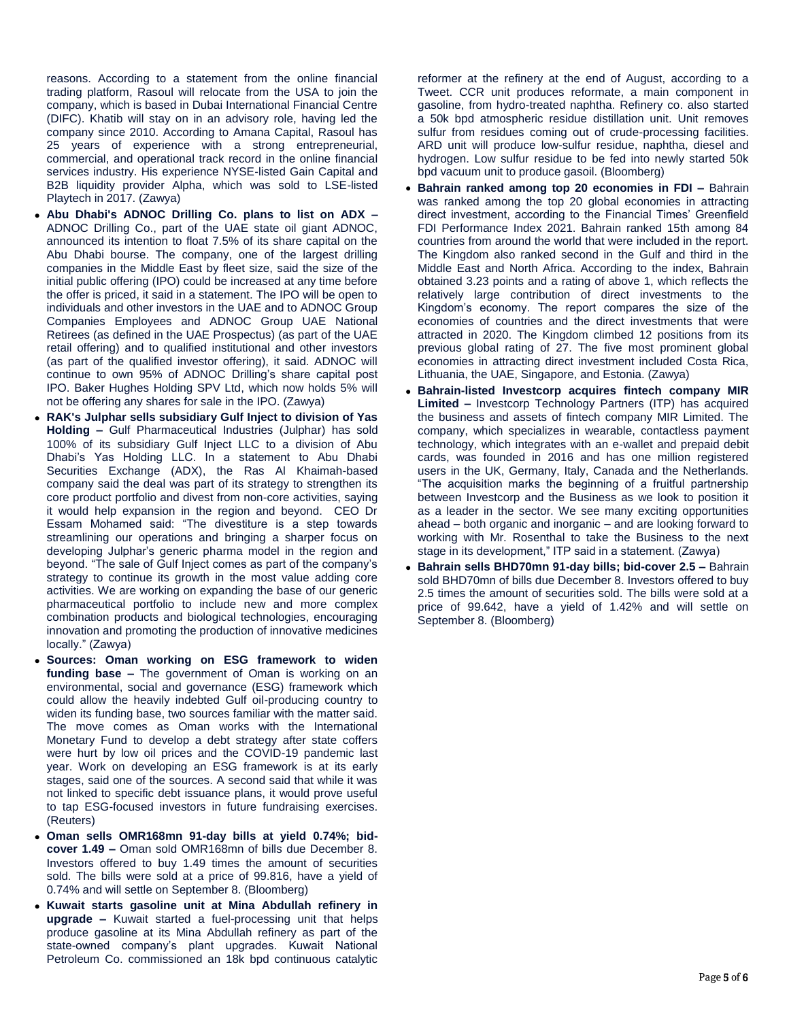reasons. According to a statement from the online financial trading platform, Rasoul will relocate from the USA to join the company, which is based in Dubai International Financial Centre (DIFC). Khatib will stay on in an advisory role, having led the company since 2010. According to Amana Capital, Rasoul has 25 years of experience with a strong entrepreneurial, commercial, and operational track record in the online financial services industry. His experience NYSE-listed Gain Capital and B2B liquidity provider Alpha, which was sold to LSE-listed Playtech in 2017. (Zawya)

- **Abu Dhabi's ADNOC Drilling Co. plans to list on ADX –** ADNOC Drilling Co., part of the UAE state oil giant ADNOC, announced its intention to float 7.5% of its share capital on the Abu Dhabi bourse. The company, one of the largest drilling companies in the Middle East by fleet size, said the size of the initial public offering (IPO) could be increased at any time before the offer is priced, it said in a statement. The IPO will be open to individuals and other investors in the UAE and to ADNOC Group Companies Employees and ADNOC Group UAE National Retirees (as defined in the UAE Prospectus) (as part of the UAE retail offering) and to qualified institutional and other investors (as part of the qualified investor offering), it said. ADNOC will continue to own 95% of ADNOC Drilling's share capital post IPO. Baker Hughes Holding SPV Ltd, which now holds 5% will not be offering any shares for sale in the IPO. (Zawya)
- **RAK's Julphar sells subsidiary Gulf Inject to division of Yas Holding –** Gulf Pharmaceutical Industries (Julphar) has sold 100% of its subsidiary Gulf Inject LLC to a division of Abu Dhabi's Yas Holding LLC. In a statement to Abu Dhabi Securities Exchange (ADX), the Ras Al Khaimah-based company said the deal was part of its strategy to strengthen its core product portfolio and divest from non-core activities, saying it would help expansion in the region and beyond. CEO Dr Essam Mohamed said: "The divestiture is a step towards streamlining our operations and bringing a sharper focus on developing Julphar's generic pharma model in the region and beyond. "The sale of Gulf Inject comes as part of the company's strategy to continue its growth in the most value adding core activities. We are working on expanding the base of our generic pharmaceutical portfolio to include new and more complex combination products and biological technologies, encouraging innovation and promoting the production of innovative medicines locally." (Zawya)
- **Sources: Oman working on ESG framework to widen funding base –** The government of Oman is working on an environmental, social and governance (ESG) framework which could allow the heavily indebted Gulf oil-producing country to widen its funding base, two sources familiar with the matter said. The move comes as Oman works with the International Monetary Fund to develop a debt strategy after state coffers were hurt by low oil prices and the COVID-19 pandemic last year. Work on developing an ESG framework is at its early stages, said one of the sources. A second said that while it was not linked to specific debt issuance plans, it would prove useful to tap ESG-focused investors in future fundraising exercises. (Reuters)
- **Oman sells OMR168mn 91-day bills at yield 0.74%; bidcover 1.49 –** Oman sold OMR168mn of bills due December 8. Investors offered to buy 1.49 times the amount of securities sold. The bills were sold at a price of 99.816, have a yield of 0.74% and will settle on September 8. (Bloomberg)
- **Kuwait starts gasoline unit at Mina Abdullah refinery in upgrade –** Kuwait started a fuel-processing unit that helps produce gasoline at its Mina Abdullah refinery as part of the state-owned company's plant upgrades. Kuwait National Petroleum Co. commissioned an 18k bpd continuous catalytic

reformer at the refinery at the end of August, according to a Tweet. CCR unit produces reformate, a main component in gasoline, from hydro-treated naphtha. Refinery co. also started a 50k bpd atmospheric residue distillation unit. Unit removes sulfur from residues coming out of crude-processing facilities. ARD unit will produce low-sulfur residue, naphtha, diesel and hydrogen. Low sulfur residue to be fed into newly started 50k bpd vacuum unit to produce gasoil. (Bloomberg)

- **Bahrain ranked among top 20 economies in FDI –** Bahrain was ranked among the top 20 global economies in attracting direct investment, according to the Financial Times' Greenfield FDI Performance Index 2021. Bahrain ranked 15th among 84 countries from around the world that were included in the report. The Kingdom also ranked second in the Gulf and third in the Middle East and North Africa. According to the index, Bahrain obtained 3.23 points and a rating of above 1, which reflects the relatively large contribution of direct investments to the Kingdom's economy. The report compares the size of the economies of countries and the direct investments that were attracted in 2020. The Kingdom climbed 12 positions from its previous global rating of 27. The five most prominent global economies in attracting direct investment included Costa Rica, Lithuania, the UAE, Singapore, and Estonia. (Zawya)
- **Bahrain-listed Investcorp acquires fintech company MIR Limited –** Investcorp Technology Partners (ITP) has acquired the business and assets of fintech company MIR Limited. The company, which specializes in wearable, contactless payment technology, which integrates with an e-wallet and prepaid debit cards, was founded in 2016 and has one million registered users in the UK, Germany, Italy, Canada and the Netherlands. "The acquisition marks the beginning of a fruitful partnership between Investcorp and the Business as we look to position it as a leader in the sector. We see many exciting opportunities ahead – both organic and inorganic – and are looking forward to working with Mr. Rosenthal to take the Business to the next stage in its development," ITP said in a statement. (Zawya)
- **Bahrain sells BHD70mn 91-day bills; bid-cover 2.5 –** Bahrain sold BHD70mn of bills due December 8. Investors offered to buy 2.5 times the amount of securities sold. The bills were sold at a price of 99.642, have a yield of 1.42% and will settle on September 8. (Bloomberg)